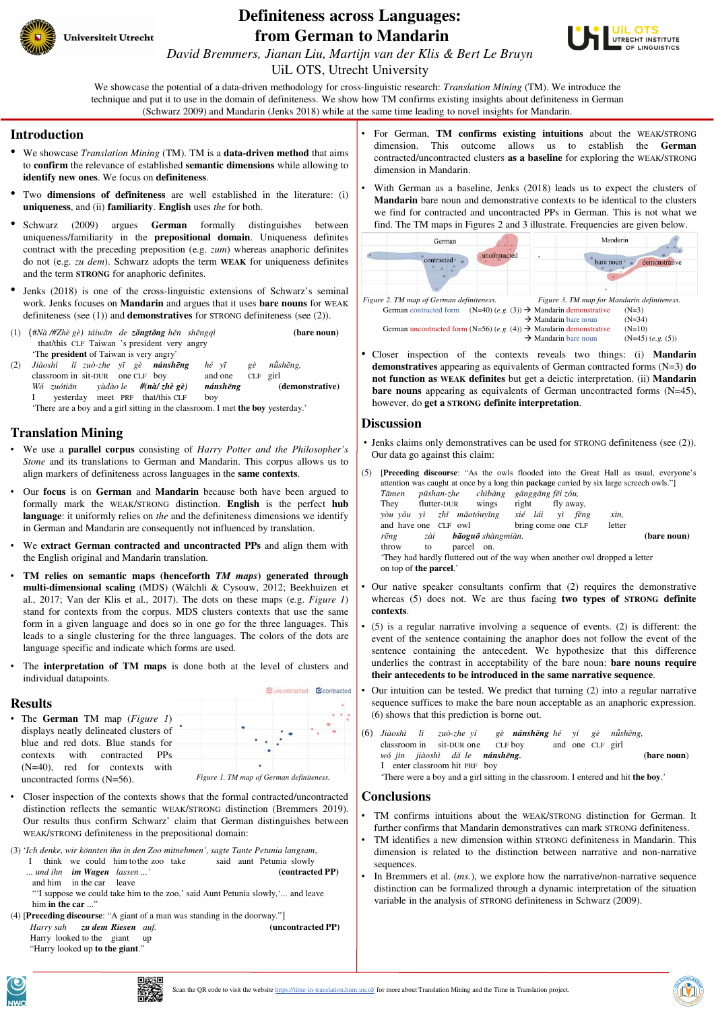

## **Definiteness across Languages: from German to Mandarin**



*David Bremmers, Jianan Liu, Martijn van der Klis & Bert Le Bruyn*

UiL OTS, Utrecht University

We showcase the potential of a data-driven methodology for cross-linguistic research: *Translation Mining* (TM). We introduce the technique and put it to use in the domain of definiteness. We show how TM confirms existing insights about definiteness in German (Schwarz 2009) and Mandarin (Jenks 2018) while at the same time leading to novel insights for Mandarin.

#### **Introduction**

- We showcase *Translation Mining* (TM). TM is a **data-driven method** that aims to **confirm** the relevance of established **semantic dimensions** while allowing to **identify new ones**. We focus on **definiteness**.
- Two **dimensions of definiteness** are well established in the literature: (i) **uniqueness**, and (ii) **familiarity**. **English** uses *the* for both.
- Schwarz (2009) argues **German** formally distinguishes between uniqueness/familiarity in the **prepositional domain**. Uniqueness definites contract with the preceding preposition (e.g. *zum*) whereas anaphoric definites do not (e.g. *zu dem*). Schwarz adopts the term **WEAK** for uniqueness definites and the term **STRONG** for anaphoric definites.
- Jenks (2018) is one of the cross-linguistic extensions of Schwarz's seminal work. Jenks focuses on **Mandarin** and argues that it uses **bare nouns** for WEAK definiteness (see (1)) and **demonstratives** for STRONG definiteness (see (2)).
- (1) (#*Nà /#Zhè gè) táiwān de zǒngtǒng hěn shēngqì* **(bare noun)** that/this CLF Taiwan 's president very angry 'The **president** of Taiwan is very angry'
- (2) *Jiàoshì lǐ zuò-zhe yī gè nánshēng hé yī gè nǚshēng,* classroom in sit-DUR one CLF boy and one CLF girl<br>Wó zuótiān yùdào le  $\#$ (nà/zhè gè) nánshēng (demonstrative) *Wǒ zuótiān* yùdào le **#(nà/ zhè gè)** yesterday meet PRF that/this CLF boy 'There are a boy and a girl sitting in the classroom. I met **the boy** yesterday.'

## **Translation Mining**

- We use a **parallel corpus** consisting of *Harry Potter and the Philosopher's Stone* and its translations to German and Mandarin. This corpus allows us to align markers of definiteness across languages in the **same contexts**.
- Our **focus** is on **German** and **Mandarin** because both have been argued to formally mark the WEAK/STRONG distinction. **English** is the perfect **hub language**: it uniformly relies on *the* and the definiteness dimensions we identify in German and Mandarin are consequently not influenced by translation.
- We **extract German contracted and uncontracted PPs** and align them with the English original and Mandarin translation.
- **TM relies on semantic maps (henceforth** *TM maps***) generated through multi-dimensional scaling** (MDS) (Wälchli & Cysouw, 2012; Beekhuizen et al., 2017; Van der Klis et al., 2017). The dots on these maps (e.g. *Figure 1*) stand for contexts from the corpus. MDS clusters contexts that use the same form in a given language and does so in one go for the three languages. This leads to a single clustering for the three languages. The colors of the dots are language specific and indicate which forms are used.
- The **interpretation of TM** maps is done both at the level of clusters and individual datapoints.

# Guncontracted Contracted

• The **German** TM map (*Figure 1*) displays neatly delineated clusters of blue and red dots. Blue stands for contexts with contracted PPs (N=40), red for contexts with uncontracted forms (N=56).

- Closer inspection of the contexts shows that the formal contracted/uncontracted distinction reflects the semantic WEAK/STRONG distinction (Bremmers 2019). Our results thus confirm Schwarz' claim that German distinguishes between WEAK/STRONG definiteness in the prepositional domain:
- (3) '*Ich denke, wir könnten ihn in den Zoo mitnehmen', sagte Tante Petunia langsam*,
	- I think we could him to the zoo take said aunt Petunia slowly<br>  $\ldots$  und ihn **im Wagen** lassen ...' (contracted PP) ... und ihn **im Wagen** lassen ...
	- and him in the car leave

"'I suppose we could take him to the zoo,' said Aunt Petunia slowly,'... and leave him **in the car** ..."

(4) **[Preceding discourse:** "A giant of a man was standing in the doorway."]<br>*Harry sah* z**u dem Riesen** auf **(uncontracted PP)** *Harry sah zu dem Riesen auf.* Harry looked to the giant up "Harry looked up **to the giant**."

- For German, **TM confirms existing intuitions** about the WEAK/STRONG dimension. This outcome allows us to establish the **German** contracted/uncontracted clusters **as a baseline** for exploring the WEAK/STRONG dimension in Mandarin.
- With German as a baseline, Jenks (2018) leads us to expect the clusters of **Mandarin** bare noun and demonstrative contexts to be identical to the clusters we find for contracted and uncontracted PPs in German. This is not what we find. The TM maps in Figures 2 and 3 illustrate. Frequencies are given below.



• Closer inspection of the contexts reveals two things: (i) **Mandarin demonstratives** appearing as equivalents of German contracted forms (N=3) **do not function as WEAK definites** but get a deictic interpretation. (ii) **Mandarin bare nouns** appearing as equivalents of German uncontracted forms (N=45), however, do **get a STRONG definite interpretation**.

#### **Discussion**

- Jenks claims only demonstratives can be used for STRONG definiteness (see (2)). Our data go against this claim:
- (5) [**Preceding discourse**: "As the owls flooded into the Great Hall as usual, everyone's attention was caught at once by a long thin **package** carried by six large screech owls."] *Tāmen pūshan-zhe chìbǎng gānggāng fēi zǒu,* They flutter-DUR wings right fly away,<br>
yòu yǒu yì zhī māotóuyīng xié lái yì fēng *yòu yǒu yì zhī māotóuyīng xié lái yì fēng xìn,* and have one CLF owl bring come one CLF letter *rēng zài bāoguǒ shàngmiàn.* **(bare noun)** throw to parcel on. 'They had hardly fluttered out of the way when another owl dropped a letter on top of **the parcel**.'
- Our native speaker consultants confirm that (2) requires the demonstrative whereas (5) does not. We are thus facing **two types of STRONG definite contexts**.
- (5) is a regular narrative involving a sequence of events. (2) is different: the event of the sentence containing the anaphor does not follow the event of the sentence containing the antecedent. We hypothesize that this difference underlies the contrast in acceptability of the bare noun: **bare nouns require their antecedents to be introduced in the same narrative sequence**.
- Our intuition can be tested. We predict that turning (2) into a regular narrative sequence suffices to make the bare noun acceptable as an anaphoric expression. (6) shows that this prediction is borne out.
- (6) *Jiàoshì lǐ zuò-zhe yí gè nánshēng hé yí gè nǚshēng,* classroom in sit-DUR one *wǒ jìn jiàoshì dǎ le nánshēng.* **(bare noun**) I enter classroom hit PRF boy

'There were a boy and a girl sitting in the classroom. I entered and hit **the boy**.'

### **Conclusions**

- TM confirms intuitions about the WEAK/STRONG distinction for German. It further confirms that Mandarin demonstratives can mark STRONG definiteness.
- TM identifies a new dimension within STRONG definiteness in Mandarin. This dimension is related to the distinction between narrative and non-narrative sequences.
- In Bremmers et al. *(ms.)*, we explore how the narrative/non-narrative sequence distinction can be formalized through a dynamic interpretation of the situation variable in the analysis of STRONG definiteness in Schwarz (2009).



**Results**



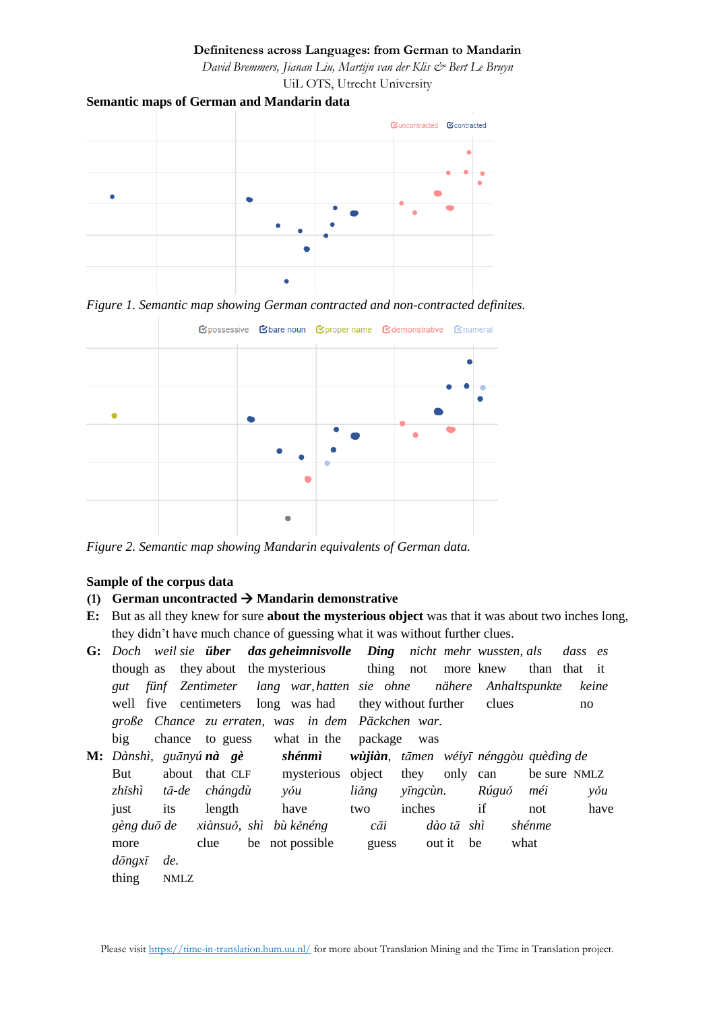## **Definiteness across Languages: from German to Mandarin**

*David Bremmers, Jianan Liu, Martijn van der Klis & Bert Le Bruyn* UiL OTS, Utrecht University

## **Semantic maps of German and Mandarin data**



*Figure 1. Semantic map showing German contracted and non-contracted definites.*



*Figure 2. Semantic map showing Mandarin equivalents of German data.*

## **Sample of the corpus data**

## (1) **German uncontracted**  $\rightarrow$  **<b>Mandarin demonstrative**

- **E:** But as all they knew for sure **about the mysterious object** was that it was about two inches long, they didn't have much chance of guessing what it was without further clues.
- **G:** *Doch weil sie über das geheimnisvolle Ding nicht mehr wussten, als dass es* though as they about the mysterious thing not more knew than that it *gut fünf Zentimeter lang war,hatten sie ohne nähere Anhaltspunkte keine* well five centimeters long was had they without further clues no *große Chance zu erraten, was in dem Päckchen war.*
- big chance to guess what in the package was **M:** *Dànshì, guānyú nà gè shénmì wùjiàn, tāmen wéiyī nénggòu quèdìng de* But about that CLF mysterious object they only can be sure NMLZ *zhǐshì tā-de chángdù yǒu liǎng yīngcùn. Rúguǒ méi yǒu* just its length have two inches if not have *gèng duō de xiànsuǒ, shì bù kěnéng cāi dào tā shì shénme*  more clue be not possible guess out it be what *dōngxī de.* thing NMLZ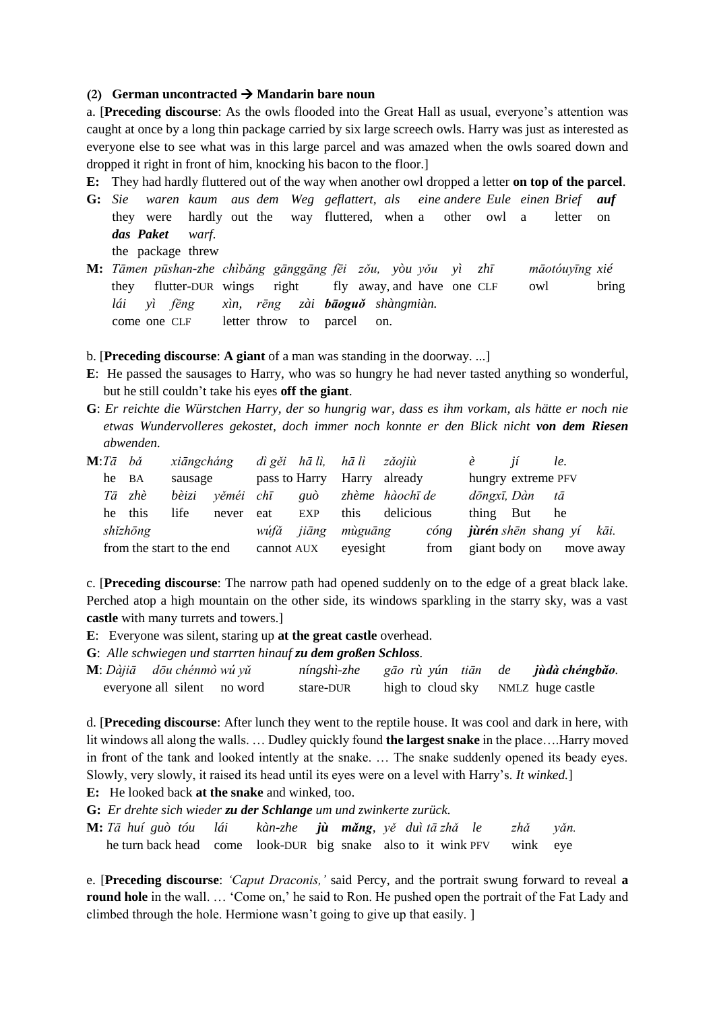## **(2) German uncontracted** → **Mandarin bare noun**

a. [**Preceding discourse**: As the owls flooded into the Great Hall as usual, everyone's attention was caught at once by a long thin package carried by six large screech owls. Harry was just as interested as everyone else to see what was in this large parcel and was amazed when the owls soared down and dropped it right in front of him, knocking his bacon to the floor.]

**E:** They had hardly fluttered out of the way when another owl dropped a letter **on top of the parcel**.

- **G:** *Sie waren kaum aus dem Weg geflattert, als eine andere Eule einen Brief auf* they were hardly out the way fluttered, when a other owl a letter on *das Paket warf.* the package threw
- **M:** *Tāmen pūshan-zhe chìbǎng gānggāng fēi zǒu, yòu yǒu yì zhī māotóuyīng xié* they flutter-DUR wings right fly away, and have one CLF owl bring *lái yì fēng xìn, rēng zài bāoguǒ shàngmiàn.* come one CLF letter throw to parcel on.
- b. [**Preceding discourse**: **A giant** of a man was standing in the doorway. ...]
- **E**: He passed the sausages to Harry, who was so hungry he had never tasted anything so wonderful, but he still couldn't take his eyes **off the giant**.
- **G**: *Er reichte die Würstchen Harry, der so hungrig war, dass es ihm vorkam, als hätte er noch nie etwas Wundervolleres gekostet, doch immer noch konnte er den Blick nicht von dem Riesen abwenden.*

| $M:T\bar{a}$ bă |                           | xiāngcháng |           |                             | dì gěi hā lì, hā lì zǎojiù |          |                   |  | $\hat{e}$          | <i>ií</i>                       | le.       |  |
|-----------------|---------------------------|------------|-----------|-----------------------------|----------------------------|----------|-------------------|--|--------------------|---------------------------------|-----------|--|
|                 | he BA                     | sausage    |           | pass to Harry Harry already |                            |          |                   |  | hungry extreme PFV |                                 |           |  |
|                 | Tā zhè                    | bèizi      | věméi chī |                             | guò                        |          | zhème   hàochī de |  |                    | dōngxī, Dàn tā                  |           |  |
|                 | he this                   | life       | never     | eat                         | <b>EXP</b>                 | this.    | delicious         |  | thing              | But                             | he        |  |
|                 | shĭzhōng                  |            |           | wúfǎ jiāng                  |                            | mùguāng  | cóng              |  |                    | <b>jùrén</b> shēn shang yí kāi. |           |  |
|                 | from the start to the end |            |           | cannot AUX                  |                            | eyesight | from              |  |                    | giant body on                   | move away |  |

c. [**Preceding discourse**: The narrow path had opened suddenly on to the edge of a great black lake. Perched atop a high mountain on the other side, its windows sparkling in the starry sky, was a vast **castle** with many turrets and towers.]

**E**: Everyone was silent, staring up at the great castle overhead.

**G**: *Alle schwiegen und starrten hinauf zu dem großen Schloss.*

| $M: D\ddot{a}ji\ddot{a}$ dōu chénmò wú yǔ | níngshì-zhe | gão rù yún tiãn de |  | jùdà chéngbǎo.                     |
|-------------------------------------------|-------------|--------------------|--|------------------------------------|
| everyone all silent no word               | stare-DUR   |                    |  | high to cloud sky NMLZ huge castle |

d. [**Preceding discourse**: After lunch they went to the reptile house. It was cool and dark in here, with lit windows all along the walls. … Dudley quickly found **the largest snake** in the place….Harry moved in front of the tank and looked intently at the snake. … The snake suddenly opened its beady eyes. Slowly, very slowly, it raised its head until its eyes were on a level with Harry's. *It winked.*]

**E:** He looked back **at the snake** and winked, too.

**G:** *Er drehte sich wieder zu der Schlange um und zwinkerte zurück.*

| <b>M:</b> Tā huí guò tóu lái kàn-zhe <b>jù măng</b> , yě duì tā zhǎ le zhǎ yǎn. |  |  |  |  |  |
|---------------------------------------------------------------------------------|--|--|--|--|--|
| he turn back head come look-DUR big snake also to it wink PFV wink eye          |  |  |  |  |  |

e. [**Preceding discourse**: *'Caput Draconis,'* said Percy, and the portrait swung forward to reveal **a round hole** in the wall. … 'Come on,' he said to Ron. He pushed open the portrait of the Fat Lady and climbed through the hole. Hermione wasn't going to give up that easily. ]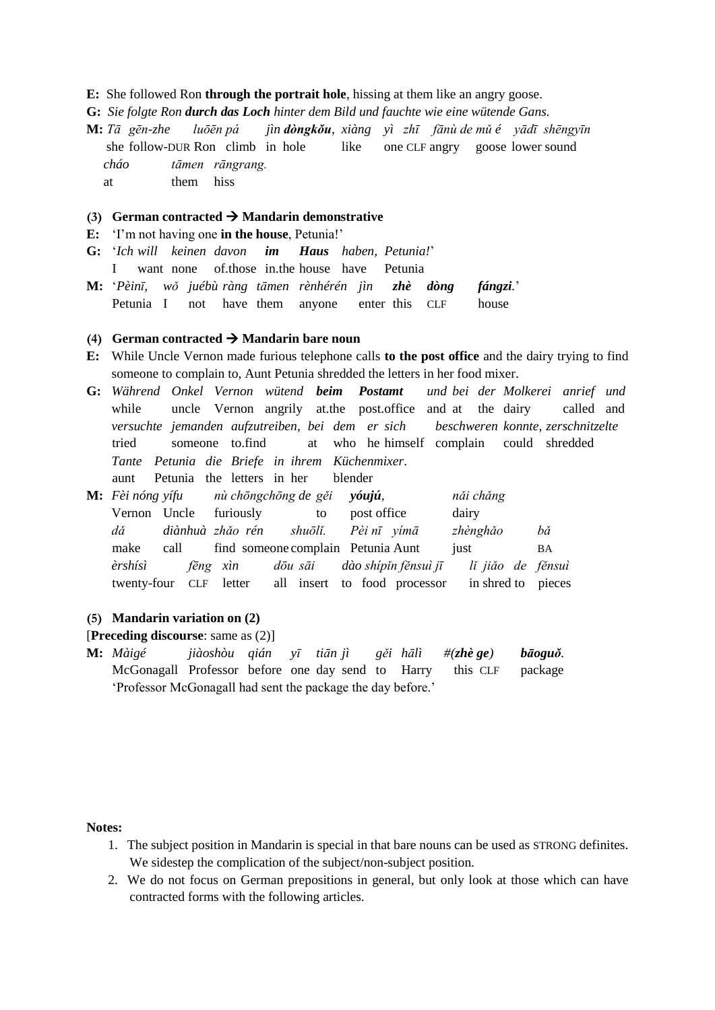### **E:** She followed Ron **through the portrait hole**, hissing at them like an angry goose.

- **G:** *Sie folgte Ron durch das Loch hinter dem Bild und fauchte wie eine wütende Gans.*
- **M:** *Tā gēn-zhe luōēn pá jìn dòngkǒu, xiàng yì zhī fānù de mǔ é yādī shēngyīn*  she follow-DUR Ron climb in hole like one CLF angry goose lower sound *cháo tāmen rāngrang.* at them hiss

## **(3) German contracted**  $\rightarrow$  **<b>Mandarin demonstrative**

**E:** 'I'm not having one **in the house**, Petunia!'

- **G:** '*Ich will keinen davon im Haus haben, Petunia!*' I want none of.those in.the house have Petunia
- **M:** '*Pèinī, wǒ juébù ràng tāmen rènhérén jìn zhè dòng fángzi.*' Petunia I not have them anyone enter this CLF house

## **(4) German contracted** → **Mandarin bare noun**

- **E:** While Uncle Vernon made furious telephone calls **to the post office** and the dairy trying to find someone to complain to, Aunt Petunia shredded the letters in her food mixer.
- **G:** *Während Onkel Vernon wütend beim Postamt und bei der Molkerei anrief und* while uncle Vernon angrily at the post office and at the dairy called and *versuchte jemanden aufzutreiben, bei dem er sich beschweren konnte, zerschnitzelte* tried someone to.find at who he himself complain could shredded *Tante Petunia die Briefe in ihrem Küchenmixer*. aunt Petunia the letters in her blender
- **M:** *Fèi nóng yífu nù chōngchōng de gěi yóujú, nǎi chǎng* Vernon Uncle furiously to post office dairy *dǎ diànhuà zhǎo rén shuōlǐ. Pèi nī yímā zhènghǎo bǎ*  make call find someone complain Petunia Aunt just BA *èrshísì fēng xìn dōu sāi dào shípǐn fěnsuì jī lǐ jiǎo de fěnsuì* twenty-four CLF letter all insert to food processor in shred to pieces

### **(5) Mandarin variation on (2)**

## [**Preceding discourse**: same as (2)]

**M:** *Màigé jiàoshòu qián yī tiān jì gěi hālì #(zhè ge) bāoguǒ.* McGonagall Professor before one day send to Harry this CLF package 'Professor McGonagall had sent the package the day before.'

#### **Notes:**

- 1. The subject position in Mandarin is special in that bare nouns can be used as STRONG definites. We sidestep the complication of the subject/non-subject position.
- 2. We do not focus on German prepositions in general, but only look at those which can have contracted forms with the following articles.